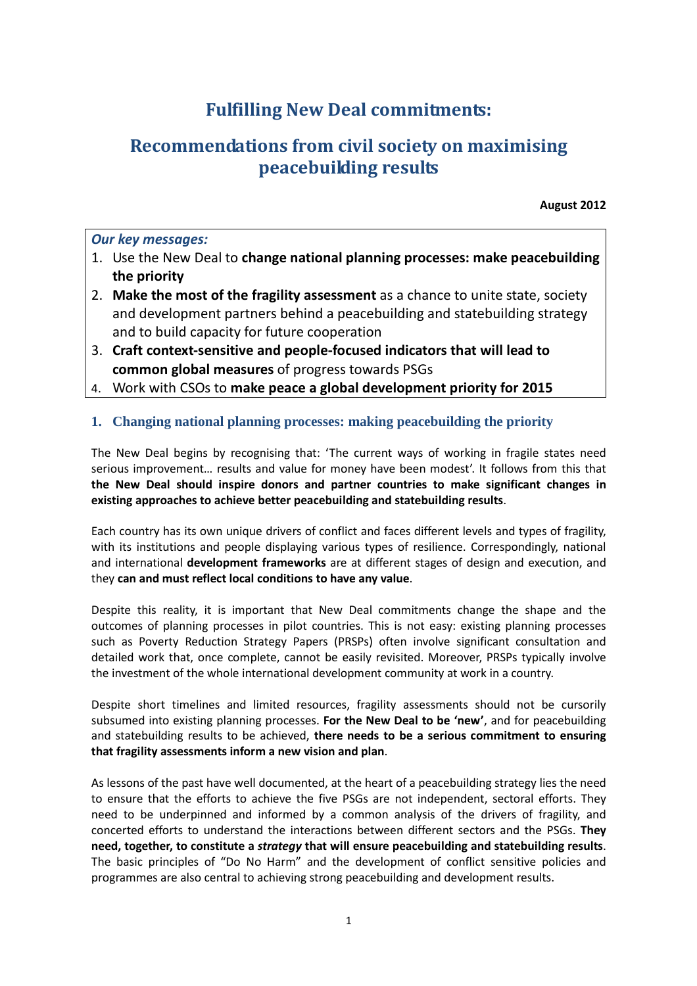# **Fulfilling New Deal commitments:**

# **Recommendations from civil society on maximising peacebuilding results**

**August 2012** 

## *Our key messages:*

- 1. Use the New Deal to **change national planning processes: make peacebuilding the priority**
- 2. **Make the most of the fragility assessment** as a chance to unite state, society and development partners behind a peacebuilding and statebuilding strategy and to build capacity for future cooperation
- 3. **Craft context-sensitive and people-focused indicators that will lead to common global measures** of progress towards PSGs
- 4. Work with CSOs to **make peace a global development priority for 2015**

# **1. Changing national planning processes: making peacebuilding the priority**

The New Deal begins by recognising that: 'The current ways of working in fragile states need serious improvement… results and value for money have been modest'. It follows from this that **the New Deal should inspire donors and partner countries to make significant changes in existing approaches to achieve better peacebuilding and statebuilding results**.

Each country has its own unique drivers of conflict and faces different levels and types of fragility, with its institutions and people displaying various types of resilience. Correspondingly, national and international **development frameworks** are at different stages of design and execution, and they **can and must reflect local conditions to have any value**.

Despite this reality, it is important that New Deal commitments change the shape and the outcomes of planning processes in pilot countries. This is not easy: existing planning processes such as Poverty Reduction Strategy Papers (PRSPs) often involve significant consultation and detailed work that, once complete, cannot be easily revisited. Moreover, PRSPs typically involve the investment of the whole international development community at work in a country.

Despite short timelines and limited resources, fragility assessments should not be cursorily subsumed into existing planning processes. **For the New Deal to be 'new'**, and for peacebuilding and statebuilding results to be achieved, **there needs to be a serious commitment to ensuring that fragility assessments inform a new vision and plan**.

As lessons of the past have well documented, at the heart of a peacebuilding strategy lies the need to ensure that the efforts to achieve the five PSGs are not independent, sectoral efforts. They need to be underpinned and informed by a common analysis of the drivers of fragility, and concerted efforts to understand the interactions between different sectors and the PSGs. **They need, together, to constitute a** *strategy* **that will ensure peacebuilding and statebuilding results**. The basic principles of "Do No Harm" and the development of conflict sensitive policies and programmes are also central to achieving strong peacebuilding and development results.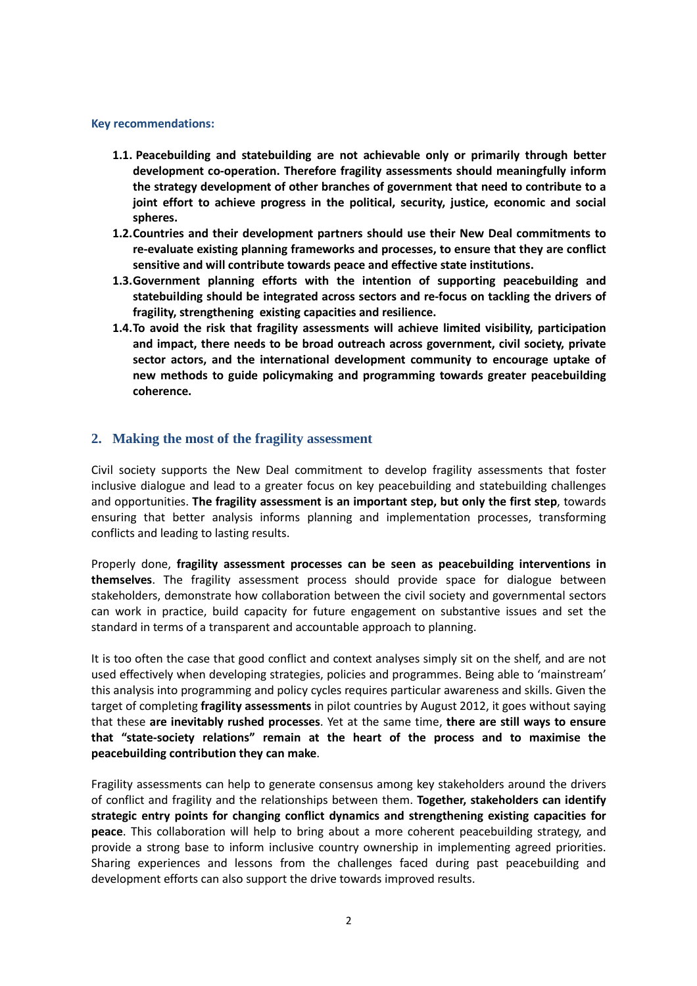#### **Key recommendations:**

- **1.1. Peacebuilding and statebuilding are not achievable only or primarily through better development co-operation. Therefore fragility assessments should meaningfully inform the strategy development of other branches of government that need to contribute to a joint effort to achieve progress in the political, security, justice, economic and social spheres.**
- **1.2.Countries and their development partners should use their New Deal commitments to re-evaluate existing planning frameworks and processes, to ensure that they are conflict sensitive and will contribute towards peace and effective state institutions.**
- **1.3.Government planning efforts with the intention of supporting peacebuilding and statebuilding should be integrated across sectors and re-focus on tackling the drivers of fragility, strengthening existing capacities and resilience.**
- **1.4.To avoid the risk that fragility assessments will achieve limited visibility, participation and impact, there needs to be broad outreach across government, civil society, private sector actors, and the international development community to encourage uptake of new methods to guide policymaking and programming towards greater peacebuilding coherence.**

### **2. Making the most of the fragility assessment**

Civil society supports the New Deal commitment to develop fragility assessments that foster inclusive dialogue and lead to a greater focus on key peacebuilding and statebuilding challenges and opportunities. **The fragility assessment is an important step, but only the first step**, towards ensuring that better analysis informs planning and implementation processes, transforming conflicts and leading to lasting results.

Properly done, **fragility assessment processes can be seen as peacebuilding interventions in themselves**. The fragility assessment process should provide space for dialogue between stakeholders, demonstrate how collaboration between the civil society and governmental sectors can work in practice, build capacity for future engagement on substantive issues and set the standard in terms of a transparent and accountable approach to planning.

It is too often the case that good conflict and context analyses simply sit on the shelf, and are not used effectively when developing strategies, policies and programmes. Being able to 'mainstream' this analysis into programming and policy cycles requires particular awareness and skills. Given the target of completing **fragility assessments** in pilot countries by August 2012, it goes without saying that these **are inevitably rushed processes**. Yet at the same time, **there are still ways to ensure that "state-society relations" remain at the heart of the process and to maximise the peacebuilding contribution they can make**.

Fragility assessments can help to generate consensus among key stakeholders around the drivers of conflict and fragility and the relationships between them. **Together, stakeholders can identify strategic entry points for changing conflict dynamics and strengthening existing capacities for peace**. This collaboration will help to bring about a more coherent peacebuilding strategy, and provide a strong base to inform inclusive country ownership in implementing agreed priorities. Sharing experiences and lessons from the challenges faced during past peacebuilding and development efforts can also support the drive towards improved results.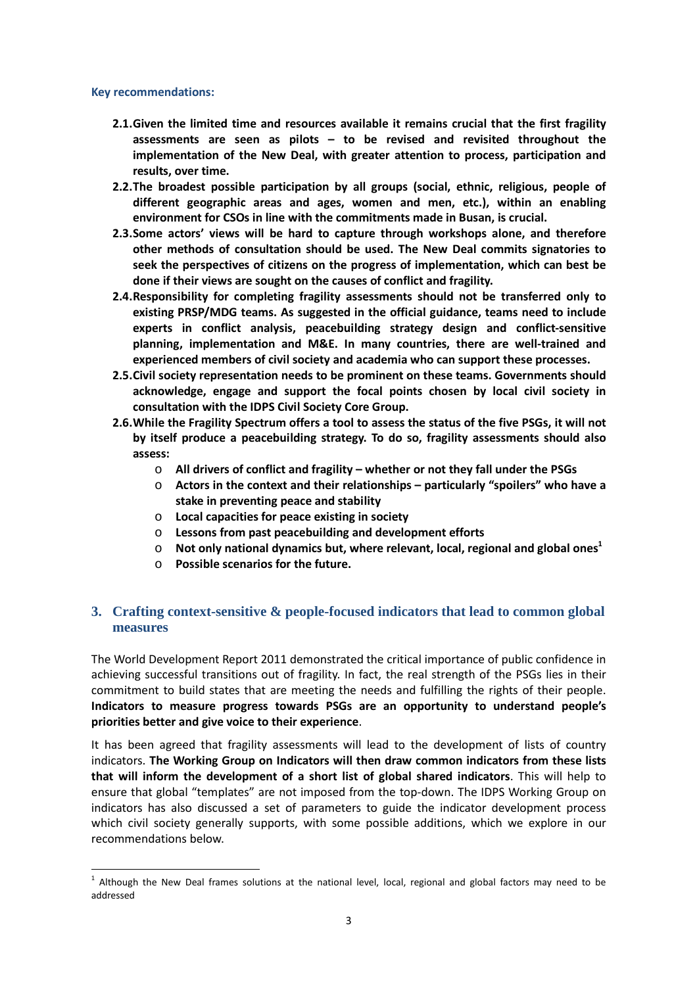#### **Key recommendations:**

 $\overline{a}$ 

- **2.1.Given the limited time and resources available it remains crucial that the first fragility assessments are seen as pilots – to be revised and revisited throughout the implementation of the New Deal, with greater attention to process, participation and results, over time.**
- **2.2.The broadest possible participation by all groups (social, ethnic, religious, people of different geographic areas and ages, women and men, etc.), within an enabling environment for CSOs in line with the commitments made in Busan, is crucial.**
- **2.3.Some actors' views will be hard to capture through workshops alone, and therefore other methods of consultation should be used. The New Deal commits signatories to seek the perspectives of citizens on the progress of implementation, which can best be done if their views are sought on the causes of conflict and fragility.**
- **2.4.Responsibility for completing fragility assessments should not be transferred only to existing PRSP/MDG teams. As suggested in the official guidance, teams need to include experts in conflict analysis, peacebuilding strategy design and conflict-sensitive planning, implementation and M&E. In many countries, there are well-trained and experienced members of civil society and academia who can support these processes.**
- **2.5.Civil society representation needs to be prominent on these teams. Governments should acknowledge, engage and support the focal points chosen by local civil society in consultation with the IDPS Civil Society Core Group.**
- **2.6.While the Fragility Spectrum offers a tool to assess the status of the five PSGs, it will not by itself produce a peacebuilding strategy. To do so, fragility assessments should also assess:** 
	- o **All drivers of conflict and fragility whether or not they fall under the PSGs**
	- o **Actors in the context and their relationships particularly "spoilers" who have a stake in preventing peace and stability**
	- o **Local capacities for peace existing in society**
	- o **Lessons from past peacebuilding and development efforts**
	- $\circ$  Not only national dynamics but, where relevant, local, regional and global ones<sup>1</sup>
	- o **Possible scenarios for the future.**

# **3. Crafting context-sensitive & people-focused indicators that lead to common global measures**

The World Development Report 2011 demonstrated the critical importance of public confidence in achieving successful transitions out of fragility. In fact, the real strength of the PSGs lies in their commitment to build states that are meeting the needs and fulfilling the rights of their people. **Indicators to measure progress towards PSGs are an opportunity to understand people's priorities better and give voice to their experience**.

It has been agreed that fragility assessments will lead to the development of lists of country indicators. **The Working Group on Indicators will then draw common indicators from these lists that will inform the development of a short list of global shared indicators**. This will help to ensure that global "templates" are not imposed from the top-down. The IDPS Working Group on indicators has also discussed a set of parameters to guide the indicator development process which civil society generally supports, with some possible additions, which we explore in our recommendations below.

<sup>&</sup>lt;sup>1</sup> Although the New Deal frames solutions at the national level, local, regional and global factors may need to be addressed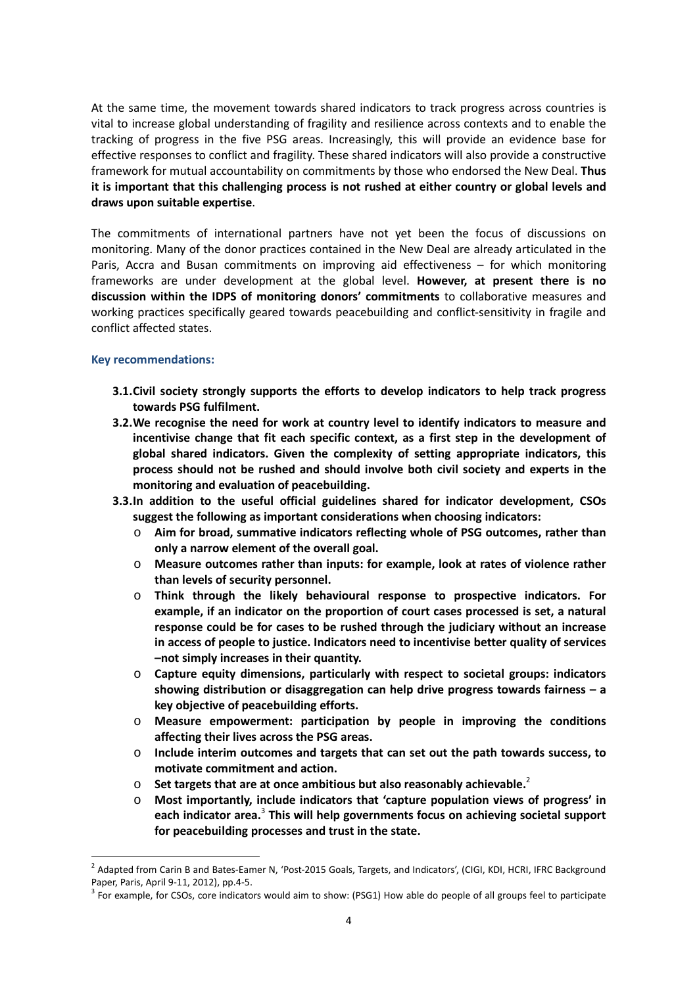At the same time, the movement towards shared indicators to track progress across countries is vital to increase global understanding of fragility and resilience across contexts and to enable the tracking of progress in the five PSG areas. Increasingly, this will provide an evidence base for effective responses to conflict and fragility. These shared indicators will also provide a constructive framework for mutual accountability on commitments by those who endorsed the New Deal. **Thus it is important that this challenging process is not rushed at either country or global levels and draws upon suitable expertise**.

The commitments of international partners have not yet been the focus of discussions on monitoring. Many of the donor practices contained in the New Deal are already articulated in the Paris, Accra and Busan commitments on improving aid effectiveness – for which monitoring frameworks are under development at the global level. **However, at present there is no discussion within the IDPS of monitoring donors' commitments** to collaborative measures and working practices specifically geared towards peacebuilding and conflict-sensitivity in fragile and conflict affected states.

### **Key recommendations:**

 $\overline{a}$ 

- **3.1.Civil society strongly supports the efforts to develop indicators to help track progress towards PSG fulfilment.**
- **3.2.We recognise the need for work at country level to identify indicators to measure and incentivise change that fit each specific context, as a first step in the development of global shared indicators. Given the complexity of setting appropriate indicators, this process should not be rushed and should involve both civil society and experts in the monitoring and evaluation of peacebuilding.**
- **3.3.In addition to the useful official guidelines shared for indicator development, CSOs suggest the following as important considerations when choosing indicators:** 
	- o **Aim for broad, summative indicators reflecting whole of PSG outcomes, rather than only a narrow element of the overall goal.**
	- o **Measure outcomes rather than inputs: for example, look at rates of violence rather than levels of security personnel.**
	- o **Think through the likely behavioural response to prospective indicators. For example, if an indicator on the proportion of court cases processed is set, a natural response could be for cases to be rushed through the judiciary without an increase in access of people to justice. Indicators need to incentivise better quality of services –not simply increases in their quantity.**
	- o **Capture equity dimensions, particularly with respect to societal groups: indicators showing distribution or disaggregation can help drive progress towards fairness – a key objective of peacebuilding efforts.**
	- o **Measure empowerment: participation by people in improving the conditions affecting their lives across the PSG areas.**
	- o **Include interim outcomes and targets that can set out the path towards success, to motivate commitment and action.**
	- o **Set targets that are at once ambitious but also reasonably achievable.**<sup>2</sup>
	- o **Most importantly, include indicators that 'capture population views of progress' in each indicator area.**<sup>3</sup>  **This will help governments focus on achieving societal support for peacebuilding processes and trust in the state.**

<sup>&</sup>lt;sup>2</sup> Adapted from Carin B and Bates-Eamer N, 'Post-2015 Goals, Targets, and Indicators', (CIGI, KDI, HCRI, IFRC Background Paper, Paris, April 9-11, 2012), pp.4-5.

 $3$  For example, for CSOs, core indicators would aim to show: (PSG1) How able do people of all groups feel to participate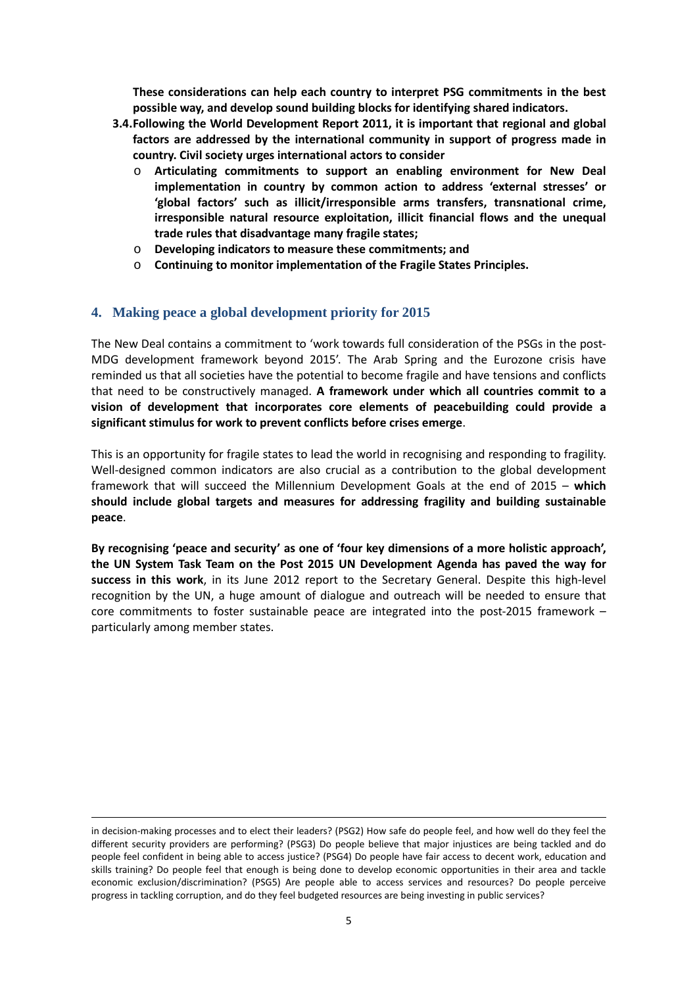**These considerations can help each country to interpret PSG commitments in the best possible way, and develop sound building blocks for identifying shared indicators.** 

- **3.4.Following the World Development Report 2011, it is important that regional and global factors are addressed by the international community in support of progress made in country. Civil society urges international actors to consider** 
	- o **Articulating commitments to support an enabling environment for New Deal implementation in country by common action to address 'external stresses' or 'global factors' such as illicit/irresponsible arms transfers, transnational crime, irresponsible natural resource exploitation, illicit financial flows and the unequal trade rules that disadvantage many fragile states;**
	- o **Developing indicators to measure these commitments; and**
	- o **Continuing to monitor implementation of the Fragile States Principles.**

## **4. Making peace a global development priority for 2015**

The New Deal contains a commitment to 'work towards full consideration of the PSGs in the post-MDG development framework beyond 2015'. The Arab Spring and the Eurozone crisis have reminded us that all societies have the potential to become fragile and have tensions and conflicts that need to be constructively managed. **A framework under which all countries commit to a vision of development that incorporates core elements of peacebuilding could provide a significant stimulus for work to prevent conflicts before crises emerge**.

This is an opportunity for fragile states to lead the world in recognising and responding to fragility. Well-designed common indicators are also crucial as a contribution to the global development framework that will succeed the Millennium Development Goals at the end of 2015 – **which should include global targets and measures for addressing fragility and building sustainable peace**.

**By recognising 'peace and security' as one of 'four key dimensions of a more holistic approach', the UN System Task Team on the Post 2015 UN Development Agenda has paved the way for success in this work**, in its June 2012 report to the Secretary General. Despite this high-level recognition by the UN, a huge amount of dialogue and outreach will be needed to ensure that core commitments to foster sustainable peace are integrated into the post-2015 framework – particularly among member states.

 $\overline{a}$ 

in decision-making processes and to elect their leaders? (PSG2) How safe do people feel, and how well do they feel the different security providers are performing? (PSG3) Do people believe that major injustices are being tackled and do people feel confident in being able to access justice? (PSG4) Do people have fair access to decent work, education and skills training? Do people feel that enough is being done to develop economic opportunities in their area and tackle economic exclusion/discrimination? (PSG5) Are people able to access services and resources? Do people perceive progress in tackling corruption, and do they feel budgeted resources are being investing in public services?